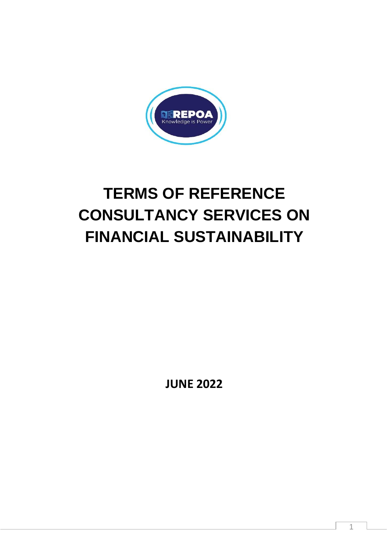

# **TERMS OF REFERENCE CONSULTANCY SERVICES ON FINANCIAL SUSTAINABILITY**

**JUNE 2022**

1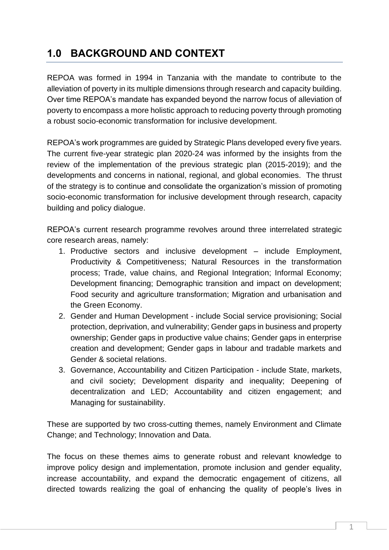## **1.0 BACKGROUND AND CONTEXT**

REPOA was formed in 1994 in Tanzania with the mandate to contribute to the alleviation of poverty in its multiple dimensions through research and capacity building. Over time REPOA's mandate has expanded beyond the narrow focus of alleviation of poverty to encompass a more holistic approach to reducing poverty through promoting a robust socio-economic transformation for inclusive development.

REPOA's work programmes are guided by Strategic Plans developed every five years. The current five-year strategic plan 2020-24 was informed by the insights from the review of the implementation of the previous strategic plan (2015-2019); and the developments and concerns in national, regional, and global economies. The thrust of the strategy is to continue and consolidate the organization's mission of promoting socio-economic transformation for inclusive development through research, capacity building and policy dialogue.

REPOA's current research programme revolves around three interrelated strategic core research areas, namely:

- 1. Productive sectors and inclusive development include Employment, Productivity & Competitiveness; Natural Resources in the transformation process; Trade, value chains, and Regional Integration; Informal Economy; Development financing; Demographic transition and impact on development; Food security and agriculture transformation; Migration and urbanisation and the Green Economy.
- 2. Gender and Human Development include Social service provisioning; Social protection, deprivation, and vulnerability; Gender gaps in business and property ownership; Gender gaps in productive value chains; Gender gaps in enterprise creation and development; Gender gaps in labour and tradable markets and Gender & societal relations.
- 3. Governance, Accountability and Citizen Participation include State, markets, and civil society; Development disparity and inequality; Deepening of decentralization and LED; Accountability and citizen engagement; and Managing for sustainability.

These are supported by two cross-cutting themes, namely Environment and Climate Change; and Technology; Innovation and Data.

The focus on these themes aims to generate robust and relevant knowledge to improve policy design and implementation, promote inclusion and gender equality, increase accountability, and expand the democratic engagement of citizens, all directed towards realizing the goal of enhancing the quality of people's lives in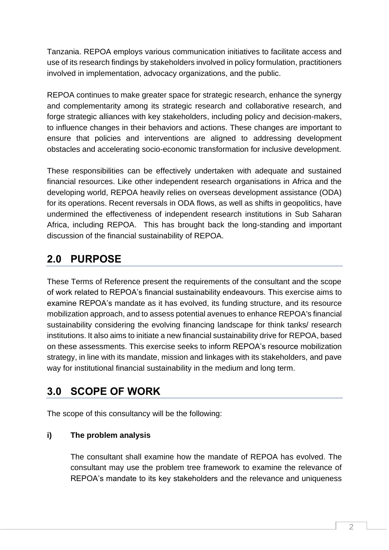Tanzania. REPOA employs various communication initiatives to facilitate access and use of its research findings by stakeholders involved in policy formulation, practitioners involved in implementation, advocacy organizations, and the public.

REPOA continues to make greater space for strategic research, enhance the synergy and complementarity among its strategic research and collaborative research, and forge strategic alliances with key stakeholders, including policy and decision-makers, to influence changes in their behaviors and actions. These changes are important to ensure that policies and interventions are aligned to addressing development obstacles and accelerating socio-economic transformation for inclusive development.

These responsibilities can be effectively undertaken with adequate and sustained financial resources. Like other independent research organisations in Africa and the developing world, REPOA heavily relies on overseas development assistance (ODA) for its operations. Recent reversals in ODA flows, as well as shifts in geopolitics, have undermined the effectiveness of independent research institutions in Sub Saharan Africa, including REPOA. This has brought back the long-standing and important discussion of the financial sustainability of REPOA.

### **2.0 PURPOSE**

These Terms of Reference present the requirements of the consultant and the scope of work related to REPOA's financial sustainability endeavours. This exercise aims to examine REPOA's mandate as it has evolved, its funding structure, and its resource mobilization approach, and to assess potential avenues to enhance REPOA's financial sustainability considering the evolving financing landscape for think tanks/ research institutions. It also aims to initiate a new financial sustainability drive for REPOA, based on these assessments. This exercise seeks to inform REPOA's resource mobilization strategy, in line with its mandate, mission and linkages with its stakeholders, and pave way for institutional financial sustainability in the medium and long term.

### **3.0 SCOPE OF WORK**

The scope of this consultancy will be the following:

### **i) The problem analysis**

The consultant shall examine how the mandate of REPOA has evolved. The consultant may use the problem tree framework to examine the relevance of REPOA's mandate to its key stakeholders and the relevance and uniqueness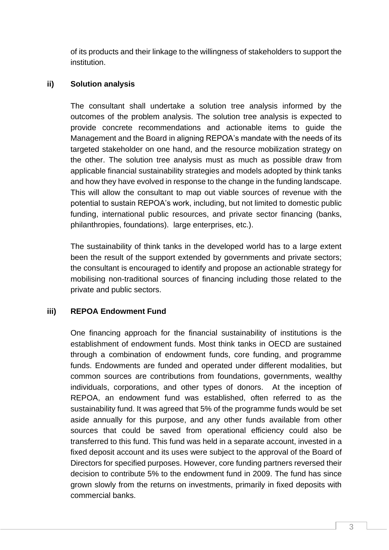of its products and their linkage to the willingness of stakeholders to support the institution.

#### **ii) Solution analysis**

The consultant shall undertake a solution tree analysis informed by the outcomes of the problem analysis. The solution tree analysis is expected to provide concrete recommendations and actionable items to guide the Management and the Board in aligning REPOA's mandate with the needs of its targeted stakeholder on one hand, and the resource mobilization strategy on the other. The solution tree analysis must as much as possible draw from applicable financial sustainability strategies and models adopted by think tanks and how they have evolved in response to the change in the funding landscape. This will allow the consultant to map out viable sources of revenue with the potential to sustain REPOA's work, including, but not limited to domestic public funding, international public resources, and private sector financing (banks, philanthropies, foundations). large enterprises, etc.).

The sustainability of think tanks in the developed world has to a large extent been the result of the support extended by governments and private sectors; the consultant is encouraged to identify and propose an actionable strategy for mobilising non-traditional sources of financing including those related to the private and public sectors.

#### **iii) REPOA Endowment Fund**

One financing approach for the financial sustainability of institutions is the establishment of endowment funds. Most think tanks in OECD are sustained through a combination of endowment funds, core funding, and programme funds. Endowments are funded and operated under different modalities, but common sources are contributions from foundations, governments, wealthy individuals, corporations, and other types of donors. At the inception of REPOA, an endowment fund was established, often referred to as the sustainability fund. It was agreed that 5% of the programme funds would be set aside annually for this purpose, and any other funds available from other sources that could be saved from operational efficiency could also be transferred to this fund. This fund was held in a separate account, invested in a fixed deposit account and its uses were subject to the approval of the Board of Directors for specified purposes. However, core funding partners reversed their decision to contribute 5% to the endowment fund in 2009. The fund has since grown slowly from the returns on investments, primarily in fixed deposits with commercial banks.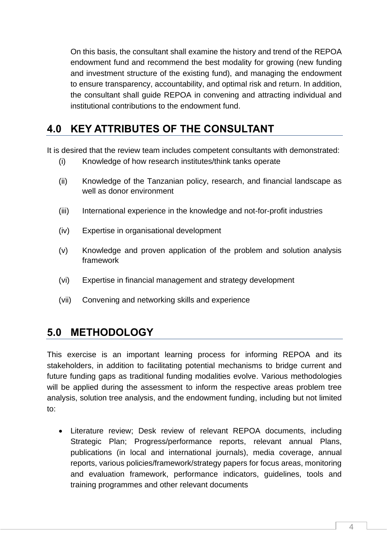On this basis, the consultant shall examine the history and trend of the REPOA endowment fund and recommend the best modality for growing (new funding and investment structure of the existing fund), and managing the endowment to ensure transparency, accountability, and optimal risk and return. In addition, the consultant shall guide REPOA in convening and attracting individual and institutional contributions to the endowment fund.

## **4.0 KEY ATTRIBUTES OF THE CONSULTANT**

It is desired that the review team includes competent consultants with demonstrated:

- (i) Knowledge of how research institutes/think tanks operate
- (ii) Knowledge of the Tanzanian policy, research, and financial landscape as well as donor environment
- (iii) International experience in the knowledge and not-for-profit industries
- (iv) Expertise in organisational development
- (v) Knowledge and proven application of the problem and solution analysis framework
- (vi) Expertise in financial management and strategy development
- (vii) Convening and networking skills and experience

### **5.0 METHODOLOGY**

This exercise is an important learning process for informing REPOA and its stakeholders, in addition to facilitating potential mechanisms to bridge current and future funding gaps as traditional funding modalities evolve. Various methodologies will be applied during the assessment to inform the respective areas problem tree analysis, solution tree analysis, and the endowment funding, including but not limited to:

• Literature review; Desk review of relevant REPOA documents, including Strategic Plan; Progress/performance reports, relevant annual Plans, publications (in local and international journals), media coverage, annual reports, various policies/framework/strategy papers for focus areas, monitoring and evaluation framework, performance indicators, guidelines, tools and training programmes and other relevant documents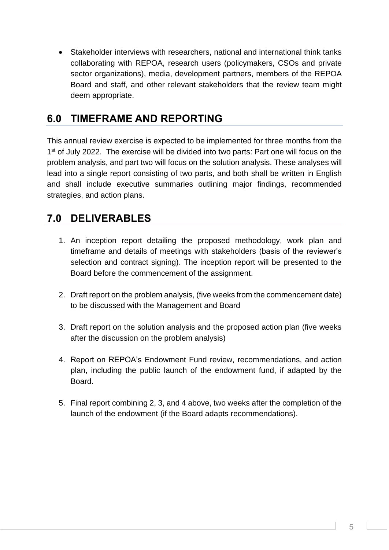• Stakeholder interviews with researchers, national and international think tanks collaborating with REPOA, research users (policymakers, CSOs and private sector organizations), media, development partners, members of the REPOA Board and staff, and other relevant stakeholders that the review team might deem appropriate.

### **6.0 TIMEFRAME AND REPORTING**

This annual review exercise is expected to be implemented for three months from the 1<sup>st</sup> of July 2022. The exercise will be divided into two parts: Part one will focus on the problem analysis, and part two will focus on the solution analysis. These analyses will lead into a single report consisting of two parts, and both shall be written in English and shall include executive summaries outlining major findings, recommended strategies, and action plans.

### **7.0 DELIVERABLES**

- 1. An inception report detailing the proposed methodology, work plan and timeframe and details of meetings with stakeholders (basis of the reviewer's selection and contract signing). The inception report will be presented to the Board before the commencement of the assignment.
- 2. Draft report on the problem analysis, (five weeks from the commencement date) to be discussed with the Management and Board
- 3. Draft report on the solution analysis and the proposed action plan (five weeks after the discussion on the problem analysis)
- 4. Report on REPOA's Endowment Fund review, recommendations, and action plan, including the public launch of the endowment fund, if adapted by the Board.
- 5. Final report combining 2, 3, and 4 above, two weeks after the completion of the launch of the endowment (if the Board adapts recommendations).